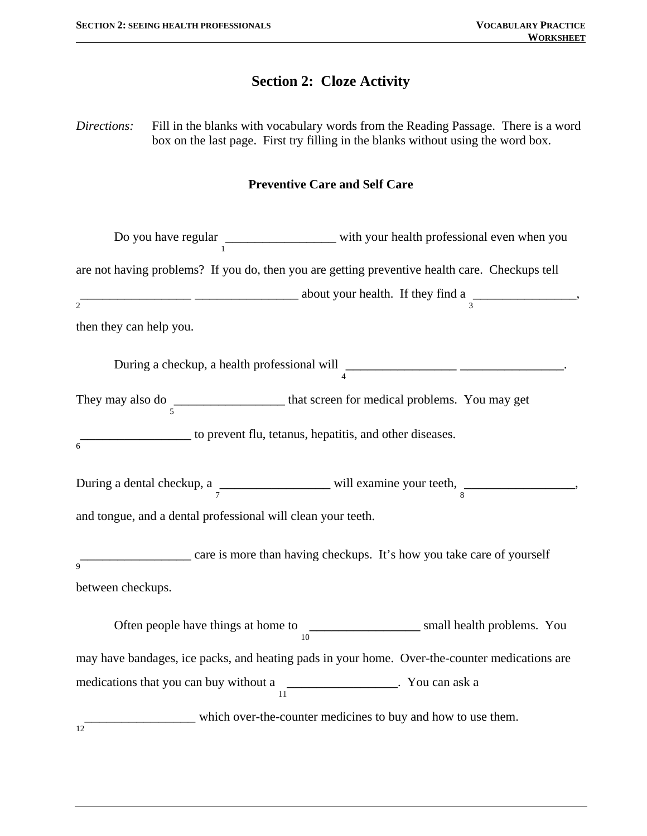# **Section 2: Cloze Activity**

*Directions:* Fill in the blanks with vocabulary words from the Reading Passage. There is a word box on the last page. First try filling in the blanks without using the word box.

### **Preventive Care and Self Care**

|                                                              | Do you have regular $\frac{1}{1}$ with your health professional even when you                  |  |  |
|--------------------------------------------------------------|------------------------------------------------------------------------------------------------|--|--|
|                                                              | are not having problems? If you do, then you are getting preventive health care. Checkups tell |  |  |
| $\overline{2}$                                               | $\frac{1}{3}$ about your health. If they find a $\frac{1}{3}$                                  |  |  |
| then they can help you.                                      |                                                                                                |  |  |
|                                                              | During a checkup, a health professional will $\frac{1}{4}$                                     |  |  |
|                                                              | They may also do $\frac{1}{5}$ that screen for medical problems. You may get                   |  |  |
| $\overline{6}$                                               | to prevent flu, tetanus, hepatitis, and other diseases.                                        |  |  |
|                                                              | During a dental checkup, a $\frac{1}{7}$ will examine your teeth, $\frac{1}{8}$                |  |  |
| and tongue, and a dental professional will clean your teeth. |                                                                                                |  |  |
| 9                                                            | care is more than having checkups. It's how you take care of yourself                          |  |  |
| between checkups.                                            |                                                                                                |  |  |
|                                                              | Often people have things at home to $\frac{10}{10}$ small health problems. You                 |  |  |
|                                                              | may have bandages, ice packs, and heating pads in your home. Over-the-counter medications are  |  |  |
|                                                              | medications that you can buy without a $\frac{1}{11}$ $\cdots$ You can ask a                   |  |  |
| 12                                                           | which over-the-counter medicines to buy and how to use them.                                   |  |  |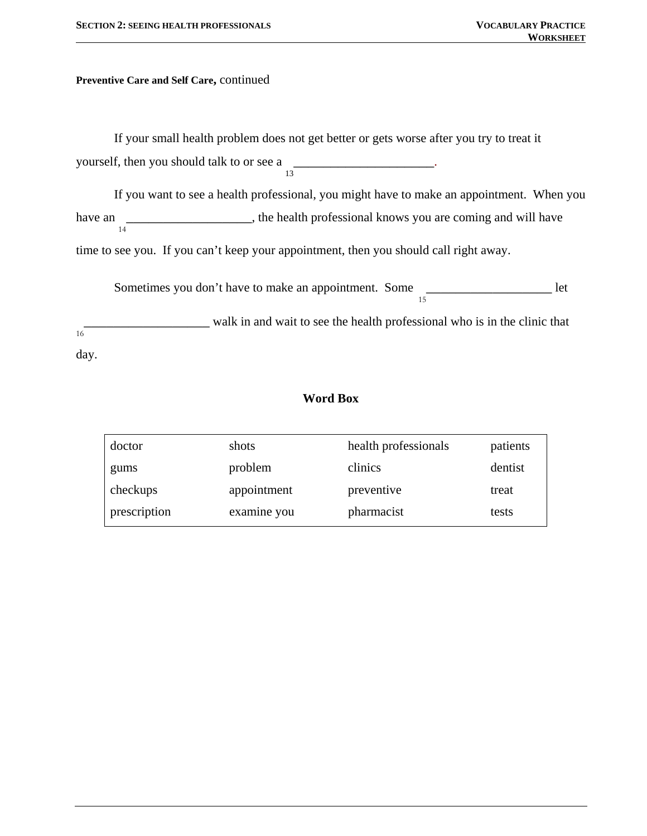**Preventive Care and Self Care,** continued

If your small health problem does not get better or gets worse after you try to treat it yourself, then you should talk to or see a 13 \_\_\_\_\_\_\_\_\_\_\_\_\_\_\_\_\_\_\_.

If you want to see a health professional, you might have to make an appointment. When you have an 14 **\_\_\_\_\_\_\_\_\_\_\_\_\_\_\_\_\_\_\_\_**, the health professional knows you are coming and will have

time to see you. If you can't keep your appointment, then you should call right away.

Sometimes you don't have to make an appointment. Some **\_\_\_\_\_\_\_\_\_\_\_\_\_\_\_\_\_** let

15

 $16^{-}$ **\_\_\_\_\_\_\_\_\_\_\_** walk in and wait to see the health professional who is in the clinic that day.

### **Word Box**

| doctor       | shots       | health professionals | patients |
|--------------|-------------|----------------------|----------|
| gums         | problem     | clinics              | dentist  |
| checkups     | appointment | preventive           | treat    |
| prescription | examine you | pharmacist           | tests    |